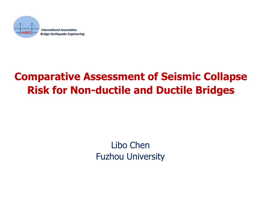

## **Comparative Assessment of Seismic Collapse Risk for Non-ductile and Ductile Bridges**

#### Libo Chen Fuzhou University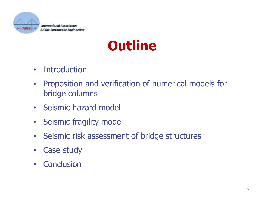

# **Outline**

- Introduction
- Proposition and verification of numerical models for bridge columns
- Seismic hazard model
- Seismic fragility model
- Seismic risk assessment of bridge structures
- Case study
- Conclusion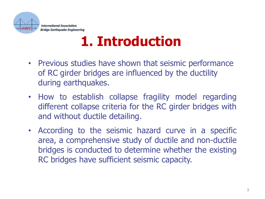

# **1. Introduction**

- Previous studies have shown that seismic performance of RC girder bridges are influenced by the ductility during earthquakes.
- How to establish collapse fragility model regarding different collapse criteria for the RC girder bridges with and without ductile detailing.
- According to the seismic hazard curve in a specific area, a comprehensive study of ductile and non-ductile bridges is conducted to determine whether the existing RC bridges have sufficient seismic capacity.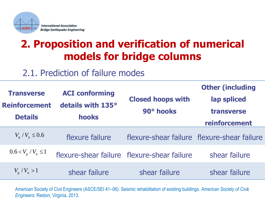

### **2. Proposition and verification of numerical models for bridge columns**

#### 2.1. Prediction of failure modes

| <b>Transverse</b><br><b>Reinforcement</b><br><b>Details</b> | <b>ACI conforming</b><br>details with 135°<br>hooks | <b>Closed hoops with</b><br>90° hooks       | <b>Other (including</b><br>lap spliced<br>transverse<br>reinforcement |
|-------------------------------------------------------------|-----------------------------------------------------|---------------------------------------------|-----------------------------------------------------------------------|
| $V_{\rm p}$ / $V_{\rm n} \le 0.6$                           | flexure failure                                     |                                             | flexure-shear failure   flexure-shear failure                         |
| $0.6 < V_p / V_n \leq 1$                                    |                                                     | flexure-shear failure flexure-shear failure | shear failure                                                         |
| $V_p / V_n > 1$                                             | shear failure                                       | shear failure                               | shear failure                                                         |

4 American Society of Civil Engineers (ASCE/SEI 41–06). Seismic rehabilitation of existing buildings. *American Society of Civil Engineers*: Reston, Virginia, 2013.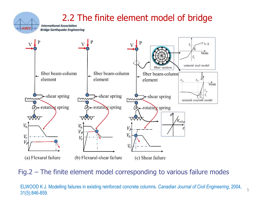#### 2.2 The finite element model of bridge

**International Association Bridge Earthquake Engineering** 

*IABEE* 



Fig.2 – The finite element model corresponding to various failure modes

ELWOOD K J. Modelling failures in existing reinforced concrete columns. *Canadian Journal of Civil Engineering*, 2004, 31(5):846-859.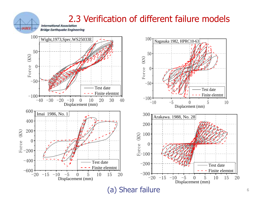# 2.3 Verification of different failure models

**Bridge Earthquake Engineering** 



(a) Shear failure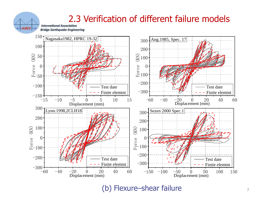

(b) Flexure–shear failure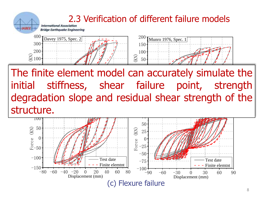

aduon siope dhu resiuudi she adation clope and recidul II SUITITES:  $\frac{1}{2}$   $\frac{1}{2}$   $\frac{1}{2}$   $\frac{1}{2}$   $\frac{1}{2}$   $\frac{1}{2}$   $\frac{1}{2}$   $\frac{1}{2}$   $\frac{1}{2}$   $\frac{1}{2}$   $\frac{1}{2}$   $\frac{1}{2}$   $\frac{1}{2}$   $\frac{1}{2}$   $\frac{1}{2}$   $\frac{1}{2}$   $\frac{1}{2}$   $\frac{1}{2}$   $\frac{1}{2}$   $\frac{1}{2}$   $\frac{1}{2}$   $\frac{1}{2}$  stied failule po  $\mathsf{Supp}\mathsf{C}$  and residual stical strength of the  $\vert$ degradation slope and residual shear strength of the  $f_n$ il.... initial stiffness, shear failure point, strength Displacement (mm) structure.

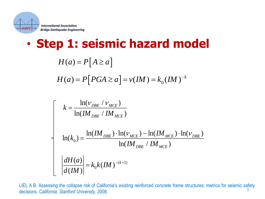

| Interrational Association                                                                                                                                                                                                   |
|-----------------------------------------------------------------------------------------------------------------------------------------------------------------------------------------------------------------------------|
| \n <b>Step 1: Seismic hazard model</b> \n                                                                                                                                                                                   |
| \n $H(a) = P[A \ge a]$ \n                                                                                                                                                                                                   |
| \n $H(a) = P[PGA \ge a] = v(IM) = k_0(IM)^{-k}$ \n                                                                                                                                                                          |
| \n $\begin{bmatrix}\n k = \frac{\ln(V_{DBE} / V_{MCE})}{\ln(IM_{DBE} / IM_{MCE})} \\  \ln(k_0) = \frac{\ln(IM_{DBE}) \cdot \ln(V_{MCE}) - \ln(IM_{MCE}) \cdot \ln(V_{DBE})}{\ln(IM_{DBE} / IM_{MCE})} \\  \end{bmatrix}$ \n |
| \n $\frac{dH(a)}{d(IM)} = k_0 k(IM)^{-(k+1)}$ \n                                                                                                                                                                            |
| \n        ELA B. Assessing the collapse risk of California's existing reinforced concrete frame structures: metrics for seismic safety positions. <i>California: Stanford University</i> , 2008.\n                          |

$$
\begin{aligned}\n\text{Eylonol Association} \\
\text{Example: } \mathbf{B} & \mathbf{B} & \mathbf{B} \\
\text{Example: } \mathbf{B} & \mathbf{B} \\
\text{Example: } \mathbf{B} & \mathbf{B} \\
\text{Example: } \mathbf{B} & \mathbf{B} \\
\text{Example: } \mathbf{B} & \mathbf{B} \\
\text{Example: } \mathbf{B} & \mathbf{B} \\
\text{Example: } \mathbf{B} & \mathbf{B} \\
\text{Example: } \mathbf{B} & \mathbf{B} \\
\text{Example: } \mathbf{B} & \mathbf{B} \\
\text{Example: } \mathbf{B} & \mathbf{B} \\
\text{Example: } \mathbf{B} & \mathbf{B} \\
\text{Example: } \mathbf{B} & \mathbf{B} \\
\text{Example: } \mathbf{B} & \mathbf{B} \\
\text{The image of } \mathbf{B} \\
\text{The image of } \mathbf{B} \\
\text{The image of } \mathbf{B} \\
\text{The image of } \mathbf{B} \\
\text{The image of } \mathbf{B} \\
\text{The image of } \mathbf{B} \\
\text{The image of } \mathbf{B} \\
\text{The image of } \mathbf{B} \\
\text{The image of } \mathbf{B} \\
\text{The image of } \mathbf{B} \\
\text{The image of } \mathbf{B} \\
\text{The image of } \mathbf{B} \\
\text{The image of } \mathbf{B} \\
\text{The image of } \mathbf{B} \\
\text{The image of } \mathbf{B} \\
\text{The image of } \mathbf{B} \\
\text{The image of } \mathbf{B} \\
\text{The image of } \mathbf{B} \\
\text{The image of } \mathbf{B} \\
\text{The image of } \mathbf{B} \\
\text{The image of } \mathbf{B} \\
\text{The image of } \mathbf{B} \\
\text{The image of } \mathbf{B} \\
\text{The image of } \mathbf{B} \\
\text{The image of } \mathbf{B} \\
\text{The image of } \mathbf{B} \\
\text{The image of } \mathbf{B} \\
\text{The image of } \mathbf{B} \\
\text{The image of } \mathbf{B} \\
\text{The image of } \mathbf{B} \\
\text{The image of } \mathbf{B} \\
\text{The image of } \mathbf{B} \\
\
$$

9 LIEL A B. Assessing the collapse risk of California's existing reinforced concrete frame structures: metrics for seismic safety decisions. *California: Stanford University*, 2008.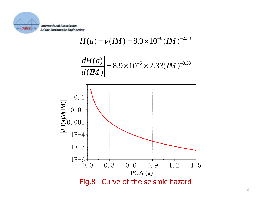

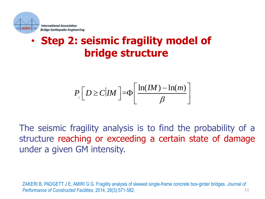

### • **Step 2: seismic fragility model of bridge structure**

$$
P\left[D \ge C | IM\right] = \Phi\left[\frac{\ln(IM) - \ln(m)}{\beta}\right]
$$

The seismic fragility analysis is to find the probability of a structure reaching or exceeding a certain state of damage under a given GM intensity.

11 ZAKERI B, PADGETT J E, AMIRI G G. Fragility analysis of skewed single-frame concrete box-girder bridges. *Journal of Performance of Constructed Facilities*, 2014, 28(3):571-582.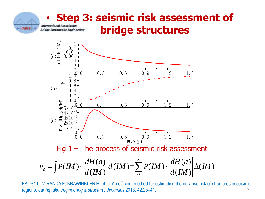# • **Step 3: seismic risk assessment of bridge structures**



12 EADS1 L, MIRANDA E, KRAWINKLER H, et al. An efficient method for estimating the collapse risk of structures in seismic regions. *earthquake engineering & structural dynamics*,2013, 42:25–41.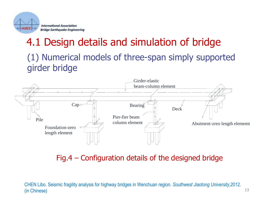

## 4.1 Design details and simulation of bridge (1) Numerical models of three-span simply supported girder bridge



Fig.4 – Configuration details of the designed bridge

13

CHEN Libo. Seismic fragility analysis for highway bridges in Wenchuan region. *Southwest Jiaotong University*,2012. (in Chinese)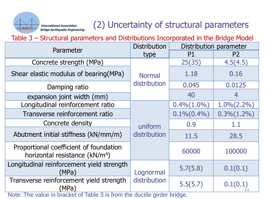#### **International Association Bridge Earthquake Engineering**

#### (2) Uncertainty of structural parameters

Table 3 – Structural parameters and Distributions Incorporated in the Bridge Model

| Parameter                                                                            | <b>Distribution</b>           | Distribution parameter |                   |
|--------------------------------------------------------------------------------------|-------------------------------|------------------------|-------------------|
|                                                                                      | type                          | P <sub>1</sub>         | P <sub>2</sub>    |
| Concrete strength (MPa)                                                              | <b>Normal</b><br>distribution | 25(35)                 | 4.5(4.5)          |
| Shear elastic modulus of bearing (MPa)                                               |                               | 1.18                   | 0.16              |
| Damping ratio                                                                        |                               | 0.045                  | 0.0125            |
| expansion joint width (mm)                                                           |                               | 40                     | 4                 |
| Longitudinal reinforcement ratio                                                     |                               | $0.4\% (1.0\%)$        | $1.0\%$ $(2.2\%)$ |
| Transverse reinforcement ratio                                                       | uniform<br>distribution       | $0.1\% (0.4\%)$        | $0.3\% (1.2\%)$   |
| Concrete density                                                                     |                               | 0.9                    | 1.1               |
| Abutment initial stiffness (kN/mm/m)                                                 |                               | 11.5                   | 28.5              |
| Proportional coefficient of foundation<br>horizontal resistance (kN/m <sup>4</sup> ) |                               | 60000                  | 100000            |
| Longitudinal reinforcement yield strength<br>(MPa)                                   | Lognormal<br>distribution     | 5.7(5.8)               | 0.1(0.1)          |
| Transverse reinforcement yield strength<br>(MPa)                                     |                               | 5.5(5.7)               | 0.1(0.1)          |

Note: The value in bracket of Table 3 is from the ductile girder bridge.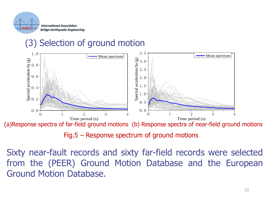

#### (3) Selection of ground motion



(a)Response spectra of far-field ground motions (b) Response spectra of near-field ground motions

Fig.5 – Response spectrum of ground motions

Sixty near-fault records and sixty far-field records were selected from the (PEER) Ground Motion Database and the European Ground Motion Database.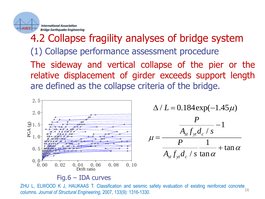

### 4.2 Collapse fragility analyses of bridge system The sideway and vertical collapse of the pier or the relative displacement of girder exceeds support length are defined as the collapse criteria of the bridge. (1) Collapse performance assessment procedure



#### Fig.6 – IDA curves

ZHU L, ELWOOD K J, HAUKAAS T. Classification and seismic safety evaluation of existing reinforced concrete columns. *Journal of Structural Engineering*, 2007, 133(9): 1316-1330.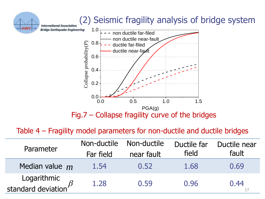

#### Table 4 – Fragility model parameters for non-ductile and ductile bridges

| Parameter                                 | Non-ductile<br>Far field | Non-ductile<br>near fault | Ductile far<br>field | Ductile near<br>fault |
|-------------------------------------------|--------------------------|---------------------------|----------------------|-----------------------|
| Median value $m$                          | 1.54                     | 0.52                      | 1.68                 | 0.69                  |
| Logarithmic<br>standard deviation $\beta$ | 1.28                     | 0.59                      | 0.96                 | 0.44                  |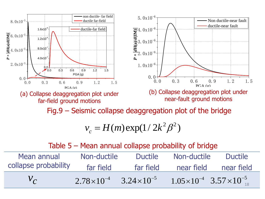

Fig.9 – Seismic collapse deaggregation plot of the bridge

$$
v_c = H(m) \exp(1/2k^2 \beta^2)
$$

#### Table 5 – Mean annual collapse probability of bridge

| Mean annual          | Non-ductile                             | <b>Ductile</b> | Non-ductile                                 | Ductile |
|----------------------|-----------------------------------------|----------------|---------------------------------------------|---------|
| collapse probability | far field                               | far field      | near field near field                       |         |
| $V_C$                | $2.78\times10^{-4}$ $3.24\times10^{-5}$ |                | $1.05 \times 10^{-4}$ $3.57 \times 10^{-5}$ |         |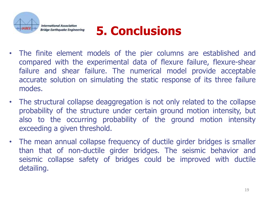

# **5. Conclusions**

- The finite element models of the pier columns are established and compared with the experimental data of flexure failure, flexure-shear failure and shear failure. The numerical model provide acceptable accurate solution on simulating the static response of its three failure modes.
- The structural collapse deaggregation is not only related to the collapse probability of the structure under certain ground motion intensity, but also to the occurring probability of the ground motion intensity exceeding a given threshold.
- The mean annual collapse frequency of ductile girder bridges is smaller than that of non-ductile girder bridges. The seismic behavior and seismic collapse safety of bridges could be improved with ductile detailing.